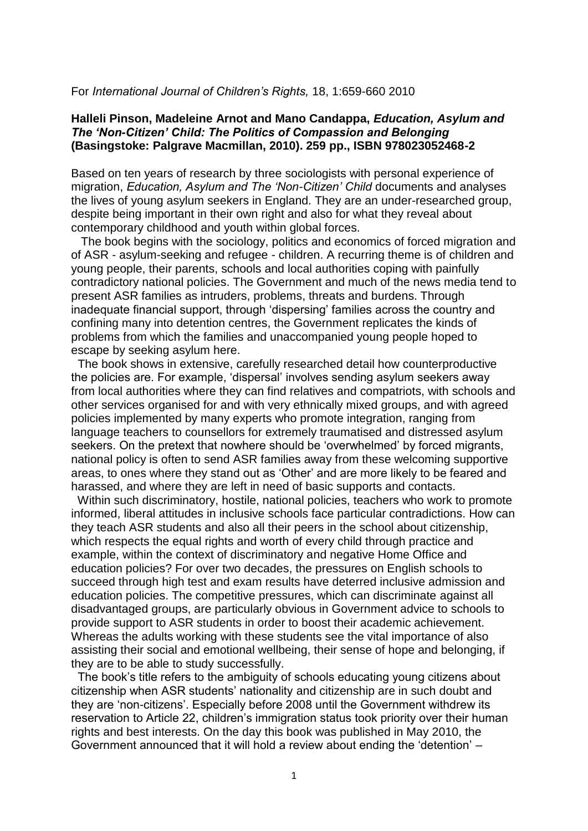For *International Journal of Children's Rights,* 18, 1:659-660 2010

## **Halleli Pinson, Madeleine Arnot and Mano Candappa,** *Education, Asylum and The 'Non-Citizen' Child: The Politics of Compassion and Belonging* **(Basingstoke: Palgrave Macmillan, 2010). 259 pp., ISBN 978023052468-2**

Based on ten years of research by three sociologists with personal experience of migration, *Education, Asylum and The 'Non-Citizen' Child* documents and analyses the lives of young asylum seekers in England. They are an under-researched group, despite being important in their own right and also for what they reveal about contemporary childhood and youth within global forces.

 The book begins with the sociology, politics and economics of forced migration and of ASR - asylum-seeking and refugee - children. A recurring theme is of children and young people, their parents, schools and local authorities coping with painfully contradictory national policies. The Government and much of the news media tend to present ASR families as intruders, problems, threats and burdens. Through inadequate financial support, through 'dispersing' families across the country and confining many into detention centres, the Government replicates the kinds of problems from which the families and unaccompanied young people hoped to escape by seeking asylum here.

 The book shows in extensive, carefully researched detail how counterproductive the policies are. For example, 'dispersal' involves sending asylum seekers away from local authorities where they can find relatives and compatriots, with schools and other services organised for and with very ethnically mixed groups, and with agreed policies implemented by many experts who promote integration, ranging from language teachers to counsellors for extremely traumatised and distressed asylum seekers. On the pretext that nowhere should be 'overwhelmed' by forced migrants, national policy is often to send ASR families away from these welcoming supportive areas, to ones where they stand out as 'Other' and are more likely to be feared and harassed, and where they are left in need of basic supports and contacts.

 Within such discriminatory, hostile, national policies, teachers who work to promote informed, liberal attitudes in inclusive schools face particular contradictions. How can they teach ASR students and also all their peers in the school about citizenship, which respects the equal rights and worth of every child through practice and example, within the context of discriminatory and negative Home Office and education policies? For over two decades, the pressures on English schools to succeed through high test and exam results have deterred inclusive admission and education policies. The competitive pressures, which can discriminate against all disadvantaged groups, are particularly obvious in Government advice to schools to provide support to ASR students in order to boost their academic achievement. Whereas the adults working with these students see the vital importance of also assisting their social and emotional wellbeing, their sense of hope and belonging, if they are to be able to study successfully.

 The book's title refers to the ambiguity of schools educating young citizens about citizenship when ASR students' nationality and citizenship are in such doubt and they are 'non-citizens'. Especially before 2008 until the Government withdrew its reservation to Article 22, children's immigration status took priority over their human rights and best interests. On the day this book was published in May 2010, the Government announced that it will hold a review about ending the 'detention' –